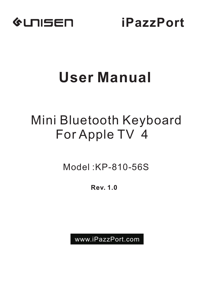

**iPazzPort**

# **User Manual**

## Mini Bluetooth Keyboard For Apple TV 4

Model :KP-810-56S

Rev. 1.0

www.iPazzPort.com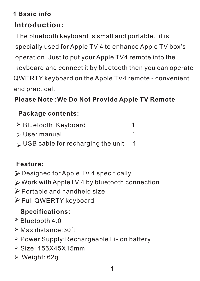## **1 Basic info**

## **Introduction:**

 The bluetooth keyboard is small and portable. it is specially used for Apple TV 4 to enhance Apple TV box's operation. Just to put your Apple TV4 remote into the keyboard and connect it by bluetooth then you can operate QWERTY keyboard on the Apple TV4 remote - convenient and practical.

## **Please Note :We Do Not Provide Apple TV Remote**

#### **Package contents:**

| > Bluetooth Keyboard              |  |
|-----------------------------------|--|
| ≽ User manual                     |  |
| USB cable for recharging the unit |  |

## **Feature:**

- Designed for Apple TV 4 specifically
- Work with AppleTV 4 by bluetooth connection
- Portable and handheld size
- Full QWERTY keyboard

## **Specifications:**

- $\geq$  Bluetooth 4.0
- Max distance:30ft
- Power Supply:Rechargeable Li-ion battery
- Size: 155X45X15mm
- Weight: 62g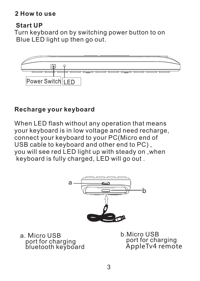#### **2 How to use**

#### **Start UP**

 Turn keyboard on by switching power button to on Blue LED light up then go out.



#### **Recharge your keyboard**

When LED flash without any operation that means your keyboard is in low voltage and need recharge, connect your keyboard to your PC(Micro end of USB cable to keyboard and other end to PC) , you will see red LED light up with steady on ,when keyboard is fully charged, LED will go out .



a. Micro USB port for charging bluetooth keyboard b.Micro USB port for charging AppleTv4 remote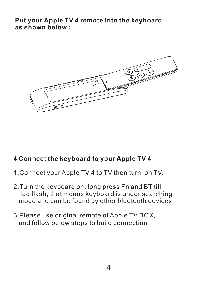**Put your Apple TV 4 remote into the keyboard as shown below :** 



#### **4 Connect the keyboard to your Apple TV 4**

- 1.Connect your Apple TV 4 to TV then turn on TV.
- 2.Turn the keyboard on, long press Fn and BT till led flash, that means keyboard is under searching .mode and can be found by other bluetooth devices
- 3.Please use original remote of Apple TV BOX, and follow below steps to build connection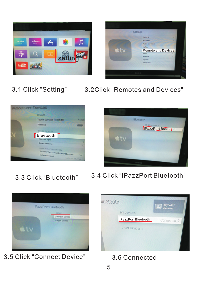



3.1 Click "Setting" 3.2Click "Remotes and Devices"





- 3.3 Click "Bluetooth"
- 3.4 Click "iPazzPort Bluetooth"



3.5 Click "Connect Device" 3.6 Connected

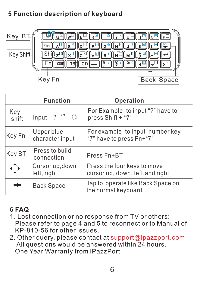## **5 Function description of keyboard**



|              | <b>Function</b>                      | Operation                                                       |
|--------------|--------------------------------------|-----------------------------------------------------------------|
| Key<br>shift | $?$ ""<br>$\langle \rangle$<br>input | For Example, to input "?" have to<br>press Shift + "?"          |
| Key Fn       | Upper blue<br>character input        | For example, to input number key<br>"7" have to press Fn+"7"    |
| Key BT       | Press to build<br>connection         | Press Fn+BT                                                     |
|              | Cursor up, down<br>left, right       | Press the four keys to move<br>cursor up, down, left, and right |
|              | <b>Back Space</b>                    | Tap to operate like Back Space on<br>the normal keyboard        |

### 6 **FAQ**

- 1.Lost connection or no response from TV or others: Please refer to page 4 and 5 to reconnect or to Manual of KP-810-56 for other issues.
- 2. Other query, please contact at support@ipazzport.com All questions would be answered within 24 hours. One Year Warranty from iPazzPort